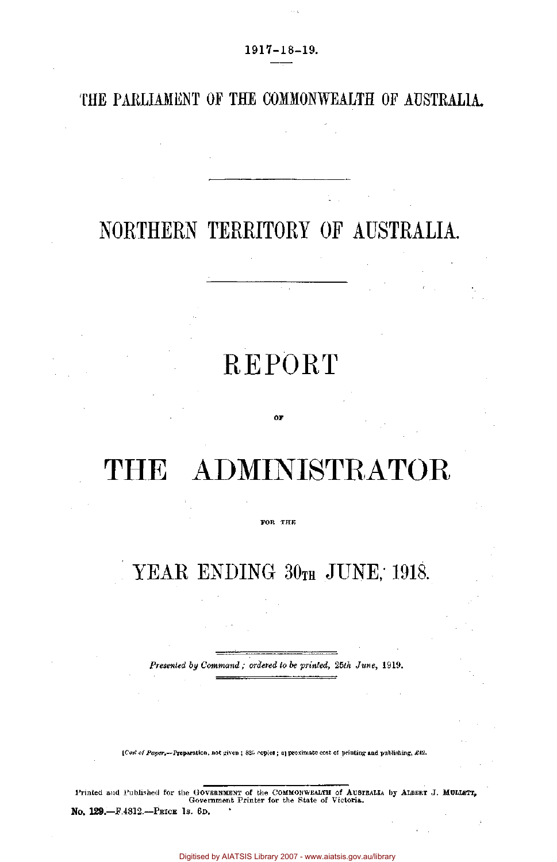### THE PARLIAMENT OF THE COMMONWEALTH OF AUSTRALIA.

## NORTHERN TERRITORY OF AUSTRALIA.

# REPORT

# THE ADMINISTRATOR

OF

#### FOR THE

## YEAR ENDING 30TH JUNE, 1918.

*Presented by Command ; ordered to be printed, 25th June,* 1919.

*[Cost of Paper.*—Preparation, not given ; 825 copies ; approximate cost of printing and publishing, £42.

Printed and Published for the GOVERNMENT of the COMMONWEALTH of AUSTRALIA by ALBERT J. MULLETT, Government Printer for the State of Victoria.

No. **129—**F.4812.—PRICE IS. 6D.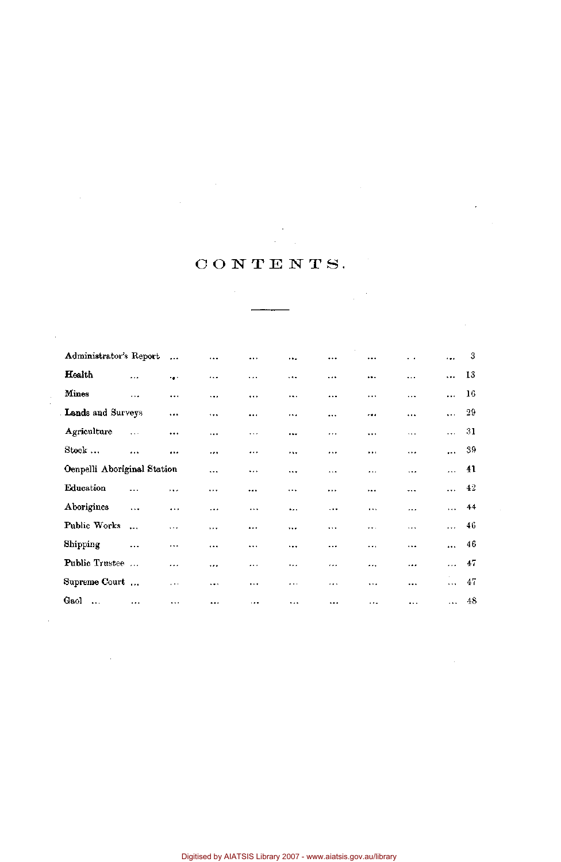### CONTENTS.

 $\sim 10^{11}$ 

 $\sim 10^{-1}$ 

 $\frac{1}{\sqrt{2}}\frac{1}{\sqrt{2}}\frac{d\phi}{d\phi}$ 

 $\hat{\boldsymbol{\beta}}$ 

 $\sim$ 

 $\bar{\beta}$ 

 $\sim 10$ 

 $\mathcal{L}^{\text{max}}_{\text{max}}$  , where  $\mathcal{L}^{\text{max}}_{\text{max}}$ 

 $\mathcal{L}^{\text{max}}_{\text{max}}$  and  $\mathcal{L}^{\text{max}}_{\text{max}}$ 

 $\label{eq:2.1} \frac{1}{\sqrt{2}}\left(\frac{1}{\sqrt{2}}\right)^{2} \left(\frac{1}{\sqrt{2}}\right)^{2} \left(\frac{1}{\sqrt{2}}\right)^{2} \left(\frac{1}{\sqrt{2}}\right)^{2} \left(\frac{1}{\sqrt{2}}\right)^{2} \left(\frac{1}{\sqrt{2}}\right)^{2} \left(\frac{1}{\sqrt{2}}\right)^{2} \left(\frac{1}{\sqrt{2}}\right)^{2} \left(\frac{1}{\sqrt{2}}\right)^{2} \left(\frac{1}{\sqrt{2}}\right)^{2} \left(\frac{1}{\sqrt{2}}\right)^{2} \left(\$ 

 $\sim 10^{-11}$ 

 $\frac{1}{2}$ 

 $\sim$ 

 $\mathcal{L}_{\text{max}}$  ,  $\mathcal{L}_{\text{max}}$ 

| Administrator's Report       |           | $\ddotsc$     | $\cdots$  | $\cdots$  | $\cdots$  | $\cdots$  | $\ddotsc$ | . .       | $\ddotsc$            | 3   |
|------------------------------|-----------|---------------|-----------|-----------|-----------|-----------|-----------|-----------|----------------------|-----|
| Health                       | $\cdots$  | $\cdot$ .     |           | $\cdots$  | $\cdots$  | $\cdots$  |           | $\ddotsc$ | $\ddotsc$            | 13  |
| Mines                        | $\ddotsc$ | $\ddotsc$     | $\cdots$  |           | $\ddotsc$ |           |           | $\cdots$  | $\ddot{\phantom{0}}$ | 16  |
| Lands and Surveys            |           |               | $\ddotsc$ |           | $\cdots$  | $\ddotsc$ |           |           | $\ddotsc$            | -29 |
| Agriculture                  | $\ldots$  | $\cdots$      |           | $\cdots$  | $\cdots$  | $\cdots$  | $\cdots$  | $\cdots$  | $\ddotsc$            | -31 |
| Stock                        | $\cdots$  | $\cdots$      | $\cdots$  |           | .         | .         | $\cdots$  | $\ddotsc$ | $\ddotsc$            | -39 |
| Oenpelli Aboriginal Station  |           |               | $\ddotsc$ | $\cdots$  | $\cdots$  | $\cdots$  | $\ddotsc$ | $\ddotsc$ | $\ddotsc$            | 41  |
| Education                    | .         |               | $\cdots$  | $\cdots$  |           | $\cdots$  |           | ---       | $\ddotsc$            | 42  |
| Aborigines                   | $\cdots$  | $\cdots$      | $\ddotsc$ | $\cdots$  | $\ddotsc$ | $\ddotsc$ | $\cdots$  |           | $\cdots$             | 44  |
| Public Works                 | $\ddotsc$ | $\cdots$      | $\cdots$  |           | $\cdots$  |           |           | $\cdots$  |                      | 46  |
| Shipping                     | $\ddotsc$ | $\cdots$      | $\cdots$  | $\cdots$  | $\ldots$  | $\cdots$  | .         | $\ddotsc$ | $\ddotsc$            | 46  |
| <b>Public Trustee</b>        | $\cdots$  |               | $\cdots$  | $\ddotsc$ |           | $1 + 1$   |           |           | $\ddotsc$            | 47  |
| Supreme Court                |           | $\sim$ $\sim$ | $\cdots$  | $\cdots$  | $\cdots$  |           | $\ddotsc$ |           | $\ddotsc$            | 47  |
| Gaol<br>$\ddot{\phantom{a}}$ | $\cdots$  | $\cdots$      |           | $\cdots$  | $\ddotsc$ |           | $\cdots$  | .         | $\ddotsc$            | 48  |

Digitised by AIATSIS Library 2007 - www.aiatsis.gov.au/library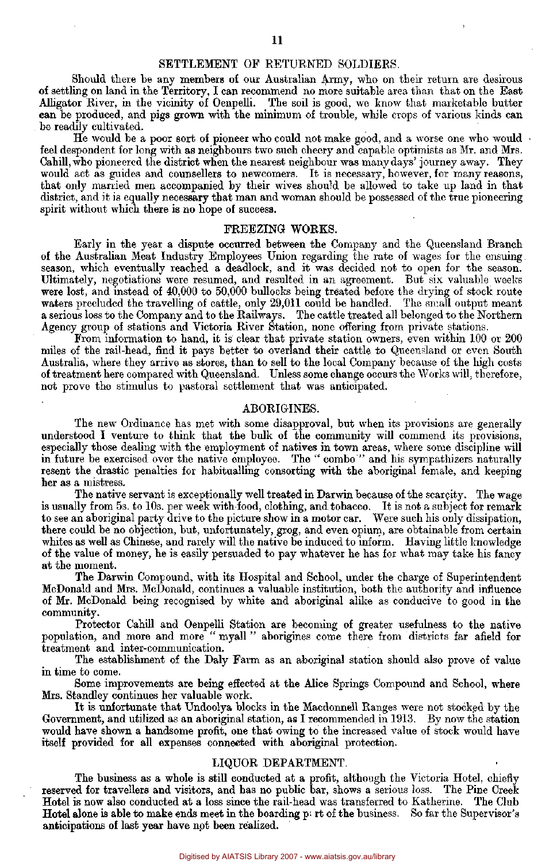### SETTLEMENT OF RETURNED SOLDIERS.

Should there be any members of our Australian Army, who on their return are desirous of settling on land in the Territory, I can recommend no more suitable area than that on the East Alligator River, in the vicinity of Oenpelli. The soil is good, we know that marketable butter can be produced, and pigs grown with the minimum of trouble, while crops of various kinds can be readily cultivated.

He would be a poor sort of pioneer who could not make good, and a worse one who would feel despondent for long with as neighbours two such cheery and capable optimists as Mr. and Mrs. Cahill, who pioneered the district when the nearest neighbour was many days' journey away. They would act as guides and counsellers to newcomers. It is necessary, however, for many reasons, that only married men accompanied by their wives should be allowed to take up land in that district, and it is equally necessary that man and woman should be possessed of the true pioneering spirit without which there is no hope of success.

### FREEZING WORKS.

Early in the year a dispute occurred between the Company and the Queensland Branch of the Australian Meat Industry Employees Union regarding the rate of wages for the ensuing season, which eventually reached a deadlock, and it was decided not to open for the season. Ultimately, negotiations were resumed, and resulted in an agreement. But six valuable weeks were lost, and instead of 40,000 to 50,000 bullocks being treated before the drying of stock route waters precluded the travelling of cattle, only 29,011 could be handled. The small output meant a serious loss to the Company and to the Railways. The cattle treated all belonged to the Northern Agency group of stations and Victoria River Station, none offering from private stations.

From information to hand, it is clear that private station owners, even within 100 or 200 miles of the rail-head, find it pays better to overland their cattle to Queensland or even South Australia, where they arrive as stores, than to sell to the local Company because of the high costs of treatment here compared with Queensland. Unless some change occurs the Works will, therefore, not prove the stimulus to pastoral settlement that was anticipated.

### ABORIGINES.

The new Ordinance has met with some disapproval, but when its provisions are generally understood I venture to think that the bulk of the community will commend its provisions, especially those dealing with the employment of natives in town areas, where some discipline will in future be exercised over the native employee. The " combo'" and his sympathizers naturally resent the drastic penalties for habitualling consorting with the aboriginal female, and keeping her as a mistress.

The native servant is exceptionally well treated in Darwin because of the scarcity. The wage is usually from 5s. to 10s. per week with food, clothing, and tobacco. It is not a subject for remark to see an aboriginal party drive to the picture show in a motor car. Were such his only dissipation, there could be no objection, but, unfortunately, grog, and even opium, are obtainable from certain whites as well as Chinese, and rarely will the native be induced to inform. Having little knowledge of the value of money, he is easily persuaded to pay whatever he has for what may take his fancy at the moment.

The Darwin Compound, with its Hospital and School, under the charge of Superintendent McDonald and Mrs. McDonald, continues a valuable institution, both the authority and influence of Mr. McDonald being recognised by white and aboriginal alike as conducive to good in the community.

Protector Cahill and Oenpelli Station are becoming of greater usefulness to the native population, and more and more " myall " aborigines come there from districts far afield for treatment and inter-communication.

The establishment of the Daly Farm as an aboriginal station should also prove of value in time to come.

Some improvements are being effected at the Alice Springs Compound and School, where Mrs. Standley continues her valuable work.

It is unfortunate that Undoolya blocks in the Macdonnell Ranges were not stocked by the Government, and utilized as an aboriginal station, as I recommended in 1913. By now the station would have shown a handsome profit, one that owing to the increased value of stock would have itself provided for all expenses connected with aboriginal protection.

### LIQUOR DEPARTMENT.

The business as a whole is still conducted at a profit, although the Victoria Hotel, chiefly reserved for travellers and visitors, and has no public bar, shows a serious loss. The Pine Creek Hotel is now also conducted at a loss since the rail-head was transferred to Katherine. The Club Hotel alone is able to make ends meet in the boarding  $p_i$  rt of the business. So far the Supervisor's anticipations of last year have not been realized.